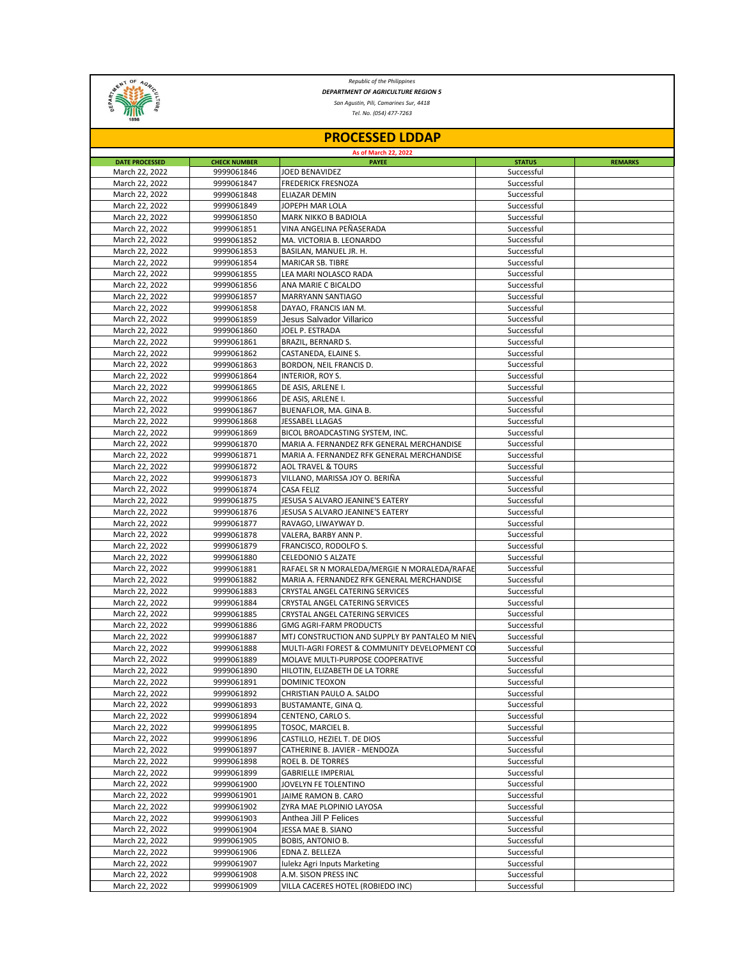

*Republic of the Philippines DEPARTMENT OF AGRICULTURE REGION 5*

*San Agustin, Pili, Camarines Sur, 4418*

*Tel. No. (054) 477-7263*

| <b>PROCESSED LDDAP</b>           |                          |                                                                                                |                          |                |  |  |  |  |
|----------------------------------|--------------------------|------------------------------------------------------------------------------------------------|--------------------------|----------------|--|--|--|--|
| As of March 22, 2022             |                          |                                                                                                |                          |                |  |  |  |  |
| <b>DATE PROCESSED</b>            | <b>CHECK NUMBER</b>      | <b>PAYEE</b>                                                                                   | <b>STATUS</b>            | <b>REMARKS</b> |  |  |  |  |
| March 22, 2022                   | 9999061846               | JOED BENAVIDEZ                                                                                 | Successful               |                |  |  |  |  |
| March 22, 2022                   | 9999061847               | <b>FREDERICK FRESNOZA</b>                                                                      | Successful               |                |  |  |  |  |
| March 22, 2022                   | 9999061848<br>9999061849 | ELIAZAR DEMIN                                                                                  | Successful<br>Successful |                |  |  |  |  |
| March 22, 2022<br>March 22, 2022 | 9999061850               | JOPEPH MAR LOLA<br><b>MARK NIKKO B BADIOLA</b>                                                 | Successful               |                |  |  |  |  |
| March 22, 2022                   | 9999061851               | VINA ANGELINA PEÑASERADA                                                                       | Successful               |                |  |  |  |  |
| March 22, 2022                   | 9999061852               | MA. VICTORIA B. LEONARDO                                                                       | Successful               |                |  |  |  |  |
| March 22, 2022                   | 9999061853               | BASILAN, MANUEL JR. H.                                                                         | Successful               |                |  |  |  |  |
| March 22, 2022                   | 9999061854               | MARICAR SB. TIBRE                                                                              | Successful               |                |  |  |  |  |
| March 22, 2022                   | 9999061855               | LEA MARI NOLASCO RADA                                                                          | Successful               |                |  |  |  |  |
| March 22, 2022                   | 9999061856               | ANA MARIE C BICALDO                                                                            | Successful               |                |  |  |  |  |
| March 22, 2022                   | 9999061857               | MARRYANN SANTIAGO                                                                              | Successful               |                |  |  |  |  |
| March 22, 2022                   | 9999061858               | DAYAO, FRANCIS IAN M.                                                                          | Successful               |                |  |  |  |  |
| March 22, 2022                   | 9999061859               | Jesus Salvador Villarico                                                                       | Successful               |                |  |  |  |  |
| March 22, 2022                   | 9999061860               | JOEL P. ESTRADA                                                                                | Successful               |                |  |  |  |  |
| March 22, 2022                   | 9999061861               | BRAZIL, BERNARD S.                                                                             | Successful               |                |  |  |  |  |
| March 22, 2022                   | 9999061862               | CASTANEDA, ELAINE S.                                                                           | Successful               |                |  |  |  |  |
| March 22, 2022                   | 9999061863               | BORDON, NEIL FRANCIS D.                                                                        | Successful               |                |  |  |  |  |
| March 22, 2022                   | 9999061864               | INTERIOR, ROY S.                                                                               | Successful               |                |  |  |  |  |
| March 22, 2022                   | 9999061865               | DE ASIS, ARLENE I.                                                                             | Successful               |                |  |  |  |  |
| March 22, 2022                   | 9999061866               | DE ASIS, ARLENE I.                                                                             | Successful               |                |  |  |  |  |
| March 22, 2022                   | 9999061867               | BUENAFLOR, MA. GINA B.                                                                         | Successful               |                |  |  |  |  |
| March 22, 2022                   | 9999061868               | <b>JESSABEL LLAGAS</b>                                                                         | Successful               |                |  |  |  |  |
| March 22, 2022                   | 9999061869               | BICOL BROADCASTING SYSTEM, INC.                                                                | Successful               |                |  |  |  |  |
| March 22, 2022                   | 9999061870               | MARIA A. FERNANDEZ RFK GENERAL MERCHANDISE                                                     | Successful               |                |  |  |  |  |
| March 22, 2022                   | 9999061871               | MARIA A. FERNANDEZ RFK GENERAL MERCHANDISE                                                     | Successful               |                |  |  |  |  |
| March 22, 2022                   | 9999061872               | <b>AOL TRAVEL &amp; TOURS</b>                                                                  | Successful               |                |  |  |  |  |
| March 22, 2022                   | 9999061873               | VILLANO, MARISSA JOY O. BERIÑA                                                                 | Successful               |                |  |  |  |  |
| March 22, 2022                   | 9999061874               | <b>CASA FELIZ</b>                                                                              | Successful               |                |  |  |  |  |
| March 22, 2022                   | 9999061875               | JESUSA S ALVARO JEANINE'S EATERY                                                               | Successful               |                |  |  |  |  |
| March 22, 2022                   | 9999061876               | JESUSA S ALVARO JEANINE'S EATERY                                                               | Successful               |                |  |  |  |  |
| March 22, 2022                   | 9999061877               | RAVAGO, LIWAYWAY D.                                                                            | Successful               |                |  |  |  |  |
| March 22, 2022                   | 9999061878               | VALERA, BARBY ANN P.                                                                           | Successful               |                |  |  |  |  |
| March 22, 2022                   | 9999061879               | FRANCISCO, RODOLFO S.                                                                          | Successful               |                |  |  |  |  |
| March 22, 2022                   | 9999061880               | <b>CELEDONIO S ALZATE</b>                                                                      | Successful               |                |  |  |  |  |
| March 22, 2022                   | 9999061881               | RAFAEL SR N MORALEDA/MERGIE N MORALEDA/RAFAE                                                   | Successful               |                |  |  |  |  |
| March 22, 2022                   | 9999061882               | MARIA A. FERNANDEZ RFK GENERAL MERCHANDISE                                                     | Successful               |                |  |  |  |  |
| March 22, 2022                   | 9999061883               | CRYSTAL ANGEL CATERING SERVICES                                                                | Successful               |                |  |  |  |  |
| March 22, 2022                   | 9999061884               | CRYSTAL ANGEL CATERING SERVICES                                                                | Successful               |                |  |  |  |  |
| March 22, 2022                   | 9999061885               | CRYSTAL ANGEL CATERING SERVICES                                                                | Successful               |                |  |  |  |  |
| March 22, 2022                   | 9999061886               | <b>GMG AGRI-FARM PRODUCTS</b>                                                                  | Successful               |                |  |  |  |  |
| March 22, 2022<br>March 22, 2022 | 9999061887<br>9999061888 | MTJ CONSTRUCTION AND SUPPLY BY PANTALEO M NIEV<br>MULTI-AGRI FOREST & COMMUNITY DEVELOPMENT CO | Successful<br>Successful |                |  |  |  |  |
| March 22, 2022                   |                          |                                                                                                | Successful               |                |  |  |  |  |
| March 22, 2022                   | 9999061889<br>9999061890 | MOLAVE MULTI-PURPOSE COOPERATIVE<br>HILOTIN, ELIZABETH DE LA TORRE                             | Successful               |                |  |  |  |  |
| March 22, 2022                   | 9999061891               | DOMINIC TEOXON                                                                                 | Successful               |                |  |  |  |  |
| March 22, 2022                   | 9999061892               | CHRISTIAN PAULO A. SALDO                                                                       | Successful               |                |  |  |  |  |
| March 22, 2022                   | 9999061893               | BUSTAMANTE, GINA Q.                                                                            | Successful               |                |  |  |  |  |
| March 22, 2022                   | 9999061894               | CENTENO, CARLO S.                                                                              | Successful               |                |  |  |  |  |
| March 22, 2022                   | 9999061895               | TOSOC, MARCIEL B.                                                                              | Successful               |                |  |  |  |  |
| March 22, 2022                   | 9999061896               | CASTILLO, HEZIEL T. DE DIOS                                                                    | Successful               |                |  |  |  |  |
| March 22, 2022                   | 9999061897               | CATHERINE B. JAVIER - MENDOZA                                                                  | Successful               |                |  |  |  |  |
| March 22, 2022                   | 9999061898               | ROEL B. DE TORRES                                                                              | Successful               |                |  |  |  |  |
| March 22, 2022                   | 9999061899               | <b>GABRIELLE IMPERIAL</b>                                                                      | Successful               |                |  |  |  |  |
| March 22, 2022                   | 9999061900               | JOVELYN FE TOLENTINO                                                                           | Successful               |                |  |  |  |  |
| March 22, 2022                   | 9999061901               | JAIME RAMON B. CARO                                                                            | Successful               |                |  |  |  |  |
| March 22, 2022                   | 9999061902               | ZYRA MAE PLOPINIO LAYOSA                                                                       | Successful               |                |  |  |  |  |
| March 22, 2022                   | 9999061903               | Anthea Jill P Felices                                                                          | Successful               |                |  |  |  |  |
| March 22, 2022                   | 9999061904               | JESSA MAE B. SIANO                                                                             | Successful               |                |  |  |  |  |
| March 22, 2022                   | 9999061905               | BOBIS, ANTONIO B.                                                                              | Successful               |                |  |  |  |  |
| March 22, 2022                   | 9999061906               | EDNA Z. BELLEZA                                                                                | Successful               |                |  |  |  |  |
| March 22, 2022                   | 9999061907               | Iulekz Agri Inputs Marketing                                                                   | Successful               |                |  |  |  |  |
| March 22, 2022                   | 9999061908               | A.M. SISON PRESS INC                                                                           | Successful               |                |  |  |  |  |
| March 22, 2022                   | 9999061909               | VILLA CACERES HOTEL (ROBIEDO INC)                                                              | Successful               |                |  |  |  |  |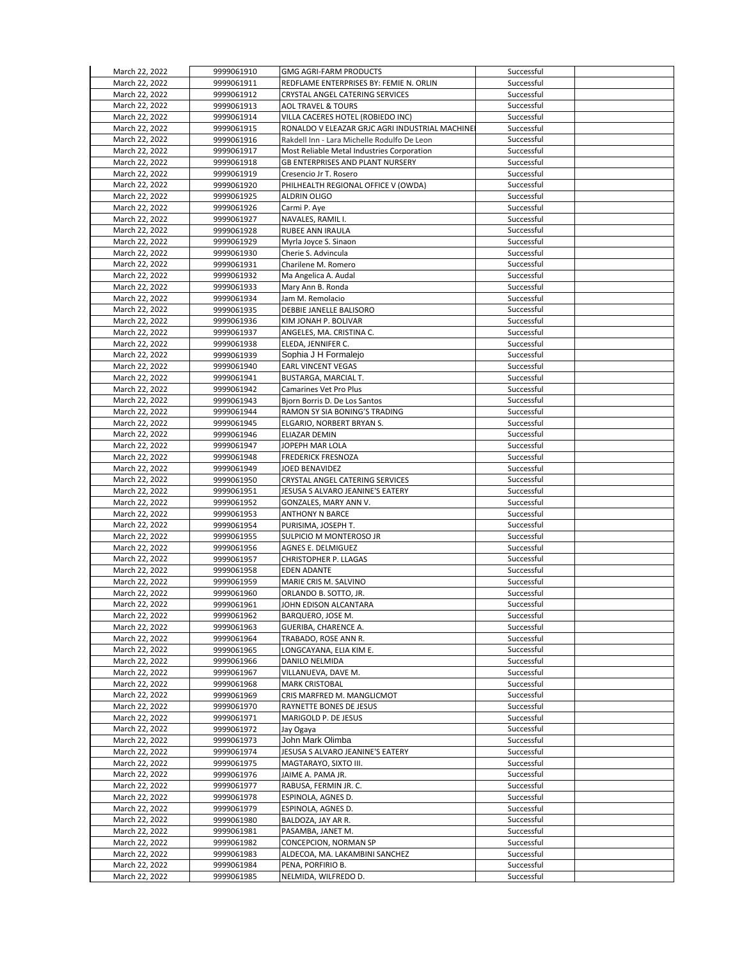| March 22, 2022 | 9999061910 | <b>GMG AGRI-FARM PRODUCTS</b>                  | Successful |  |
|----------------|------------|------------------------------------------------|------------|--|
| March 22, 2022 | 9999061911 | REDFLAME ENTERPRISES BY: FEMIE N. ORLIN        | Successful |  |
| March 22, 2022 | 9999061912 | CRYSTAL ANGEL CATERING SERVICES                | Successful |  |
|                |            |                                                |            |  |
| March 22, 2022 | 9999061913 | <b>AOL TRAVEL &amp; TOURS</b>                  | Successful |  |
| March 22, 2022 | 9999061914 | VILLA CACERES HOTEL (ROBIEDO INC)              | Successful |  |
| March 22, 2022 | 9999061915 | RONALDO V ELEAZAR GRJC AGRI INDUSTRIAL MACHINE | Successful |  |
| March 22, 2022 | 9999061916 | Rakdell Inn - Lara Michelle Rodulfo De Leon    | Successful |  |
| March 22, 2022 | 9999061917 | Most Reliable Metal Industries Corporation     | Successful |  |
| March 22, 2022 | 9999061918 | <b>GB ENTERPRISES AND PLANT NURSERY</b>        | Successful |  |
| March 22, 2022 | 9999061919 | Cresencio Jr T. Rosero                         | Successful |  |
| March 22, 2022 |            |                                                | Successful |  |
|                | 9999061920 | PHILHEALTH REGIONAL OFFICE V (OWDA)            |            |  |
| March 22, 2022 | 9999061925 | ALDRIN OLIGO                                   | Successful |  |
| March 22, 2022 | 9999061926 | Carmi P. Aye                                   | Successful |  |
| March 22, 2022 | 9999061927 | NAVALES, RAMIL I.                              | Successful |  |
| March 22, 2022 | 9999061928 | RUBEE ANN IRAULA                               | Successful |  |
| March 22, 2022 | 9999061929 | Myrla Joyce S. Sinaon                          | Successful |  |
| March 22, 2022 | 9999061930 | Cherie S. Advincula                            | Successful |  |
| March 22, 2022 | 9999061931 | Charilene M. Romero                            | Successful |  |
| March 22, 2022 | 9999061932 | Ma Angelica A. Audal                           | Successful |  |
| March 22, 2022 | 9999061933 | Mary Ann B. Ronda                              | Successful |  |
| March 22, 2022 | 9999061934 | Jam M. Remolacio                               | Successful |  |
| March 22, 2022 |            |                                                | Successful |  |
|                | 9999061935 | DEBBIE JANELLE BALISORO                        |            |  |
| March 22, 2022 | 9999061936 | KIM JONAH P. BOLIVAR                           | Successful |  |
| March 22, 2022 | 9999061937 | ANGELES, MA. CRISTINA C.                       | Successful |  |
| March 22, 2022 | 9999061938 | ELEDA. JENNIFER C.                             | Successful |  |
| March 22, 2022 | 9999061939 | Sophia J H Formalejo                           | Successful |  |
| March 22, 2022 | 9999061940 | <b>EARL VINCENT VEGAS</b>                      | Successful |  |
| March 22, 2022 | 9999061941 | BUSTARGA, MARCIAL T.                           | Successful |  |
| March 22, 2022 | 9999061942 | Camarines Vet Pro Plus                         | Successful |  |
| March 22, 2022 | 9999061943 | Bjorn Borris D. De Los Santos                  | Successful |  |
| March 22, 2022 | 9999061944 | RAMON SY SIA BONING'S TRADING                  | Successful |  |
| March 22, 2022 | 9999061945 | ELGARIO, NORBERT BRYAN S.                      | Successful |  |
| March 22, 2022 | 9999061946 | ELIAZAR DEMIN                                  | Successful |  |
| March 22, 2022 | 9999061947 | JOPEPH MAR LOLA                                | Successful |  |
|                |            |                                                |            |  |
| March 22, 2022 | 9999061948 | FREDERICK FRESNOZA                             | Successful |  |
| March 22, 2022 | 9999061949 | JOED BENAVIDEZ                                 | Successful |  |
| March 22, 2022 | 9999061950 | CRYSTAL ANGEL CATERING SERVICES                | Successful |  |
| March 22, 2022 | 9999061951 | JESUSA S ALVARO JEANINE'S EATERY               | Successful |  |
| March 22, 2022 | 9999061952 | GONZALES, MARY ANN V.                          | Successful |  |
| March 22, 2022 | 9999061953 | <b>ANTHONY N BARCE</b>                         | Successful |  |
| March 22, 2022 | 9999061954 | PURISIMA, JOSEPH T.                            | Successful |  |
| March 22, 2022 | 9999061955 | SULPICIO M MONTEROSO JR                        | Successful |  |
| March 22, 2022 | 9999061956 | <b>AGNES E. DELMIGUEZ</b>                      | Successful |  |
| March 22, 2022 | 9999061957 | CHRISTOPHER P. LLAGAS                          | Successful |  |
| March 22, 2022 | 9999061958 | <b>EDEN ADANTE</b>                             | Successful |  |
| March 22, 2022 | 9999061959 | MARIE CRIS M. SALVINO                          | Successful |  |
| March 22, 2022 | 9999061960 | ORLANDO B. SOTTO, JR.                          | Successful |  |
| March 22, 2022 | 9999061961 | JOHN EDISON ALCANTARA                          | Successful |  |
| March 22, 2022 | 9999061962 | BARQUERO, JOSE M.                              | Successful |  |
| March 22, 2022 | 9999061963 | GUERIBA, CHARENCE A.                           | Successful |  |
|                |            |                                                |            |  |
| March 22, 2022 | 9999061964 | TRABADO, ROSE ANN R.                           | Successful |  |
| March 22, 2022 | 9999061965 | LONGCAYANA, ELIA KIM E.                        | Successful |  |
| March 22, 2022 | 9999061966 | DANILO NELMIDA                                 | Successful |  |
| March 22, 2022 | 9999061967 | VILLANUEVA, DAVE M.                            | Successful |  |
| March 22, 2022 | 9999061968 | <b>MARK CRISTOBAL</b>                          | Successful |  |
| March 22, 2022 | 9999061969 | CRIS MARFRED M. MANGLICMOT                     | Successful |  |
| March 22, 2022 | 9999061970 | RAYNETTE BONES DE JESUS                        | Successful |  |
| March 22, 2022 | 9999061971 | MARIGOLD P. DE JESUS                           | Successful |  |
| March 22, 2022 | 9999061972 | Jay Ogaya                                      | Successful |  |
| March 22, 2022 | 9999061973 | John Mark Olimba                               | Successful |  |
| March 22, 2022 | 9999061974 | JESUSA S ALVARO JEANINE'S EATERY               | Successful |  |
| March 22, 2022 | 9999061975 | MAGTARAYO, SIXTO III.                          | Successful |  |
| March 22, 2022 | 9999061976 | JAIME A. PAMA JR.                              | Successful |  |
| March 22, 2022 | 9999061977 | RABUSA, FERMIN JR. C.                          | Successful |  |
|                |            |                                                |            |  |
| March 22, 2022 | 9999061978 | ESPINOLA, AGNES D.                             | Successful |  |
| March 22, 2022 | 9999061979 | ESPINOLA, AGNES D.                             | Successful |  |
| March 22, 2022 | 9999061980 | BALDOZA, JAY AR R.                             | Successful |  |
| March 22, 2022 | 9999061981 | PASAMBA, JANET M.                              | Successful |  |
| March 22, 2022 | 9999061982 | CONCEPCION, NORMAN SP                          | Successful |  |
| March 22, 2022 | 9999061983 | ALDECOA, MA. LAKAMBINI SANCHEZ                 | Successful |  |
| March 22, 2022 | 9999061984 | PENA, PORFIRIO B.                              | Successful |  |
| March 22, 2022 | 9999061985 | NELMIDA, WILFREDO D.                           | Successful |  |